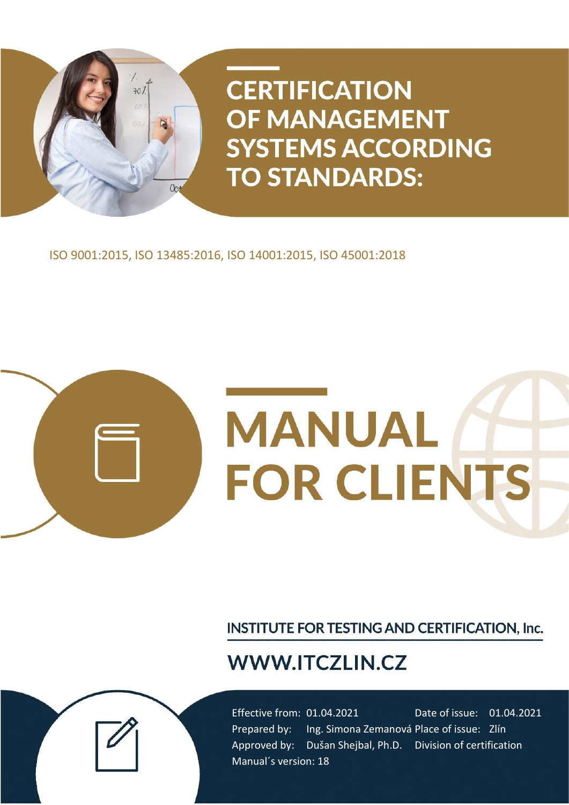

ISO 9001:2015, ISO 13485:2016, ISO 14001:2015, ISO 45001:2018



**INSTITUTE FOR TESTING AND CERTIFICATION, Inc.** 

# **WWW.ITCZLIN.CZ**

Effective from: 01.04.2021 Date of issue: 01.04.2021 Prepared by: Ing. Simona Zemanová Place of issue: Zlín Approved by: Dušan Shejbal, Ph.D. Division of certification Manual´s version: 18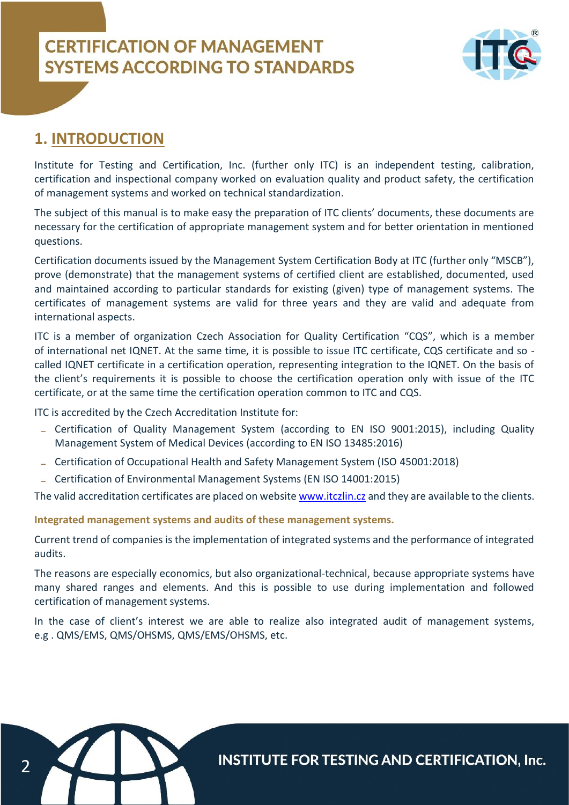

### **1. INTRODUCTION**

Institute for Testing and Certification, Inc. (further only ITC) is an independent testing, calibration, certification and inspectional company worked on evaluation quality and product safety, the certification of management systems and worked on technical standardization.

The subject of this manual is to make easy the preparation of ITC clients' documents, these documents are necessary for the certification of appropriate management system and for better orientation in mentioned questions.

Certification documents issued by the Management System Certification Body at ITC (further only "MSCB"), prove (demonstrate) that the management systems of certified client are established, documented, used and maintained according to particular standards for existing (given) type of management systems. The certificates of management systems are valid for three years and they are valid and adequate from international aspects.

ITC is a member of organization Czech Association for Quality Certification "CQS", which is a member of international net IQNET. At the same time, it is possible to issue ITC certificate, CQS certificate and so called IQNET certificate in a certification operation, representing integration to the IQNET. On the basis of the client's requirements it is possible to choose the certification operation only with issue of the ITC certificate, or at the same time the certification operation common to ITC and CQS.

ITC is accredited by the Czech Accreditation Institute for:

- Certification of Quality Management System (according to EN ISO 9001:2015), including Quality Management System of Medical Devices (according to EN ISO 13485:2016)
- Certification of Occupational Health and Safety Management System (ISO 45001:2018)
- Certification of Environmental Management Systems (EN ISO 14001:2015)

The valid accreditation certificates are placed on websit[e www.itczlin.cz](http://www.itczlin.cz/) and they are available to the clients.

**Integrated management systems and audits of these management systems.**

Current trend of companies is the implementation of integrated systems and the performance of integrated audits.

The reasons are especially economics, but also organizational-technical, because appropriate systems have many shared ranges and elements. And this is possible to use during implementation and followed certification of management systems.

In the case of client's interest we are able to realize also integrated audit of management systems, e.g . QMS/EMS, QMS/OHSMS, QMS/EMS/OHSMS, etc.

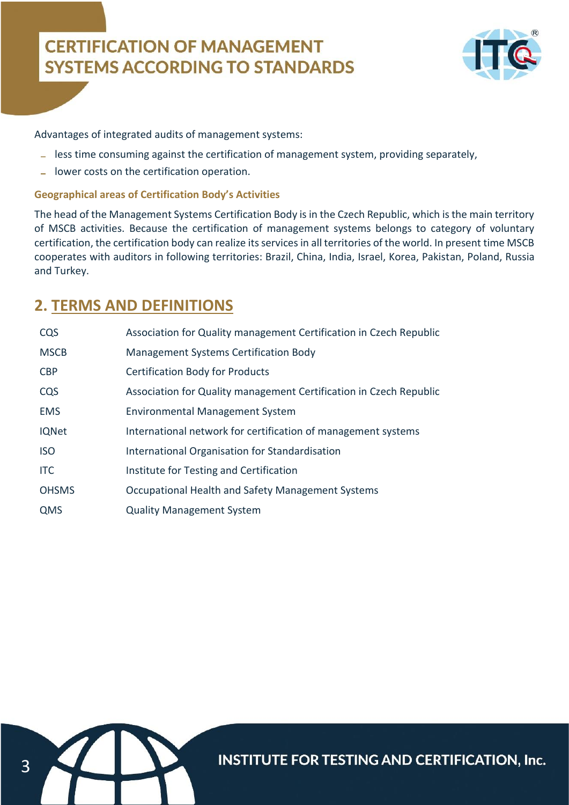

Advantages of integrated audits of management systems:

- less time consuming against the certification of management system, providing separately,
- lower costs on the certification operation.

### **Geographical areas of Certification Body's Activities**

The head of the Management Systems Certification Body is in the Czech Republic, which is the main territory of MSCB activities. Because the certification of management systems belongs to category of voluntary certification, the certification body can realize its services in all territories of the world. In present time MSCB cooperates with auditors in following territories: Brazil, China, India, Israel, Korea, Pakistan, Poland, Russia and Turkey.

### **2. TERMS AND DEFINITIONS**

| CQS          | Association for Quality management Certification in Czech Republic |  |  |
|--------------|--------------------------------------------------------------------|--|--|
| <b>MSCB</b>  | <b>Management Systems Certification Body</b>                       |  |  |
| <b>CBP</b>   | <b>Certification Body for Products</b>                             |  |  |
| CQS          | Association for Quality management Certification in Czech Republic |  |  |
| <b>EMS</b>   | <b>Environmental Management System</b>                             |  |  |
| <b>IQNet</b> | International network for certification of management systems      |  |  |
| <b>ISO</b>   | International Organisation for Standardisation                     |  |  |
| <b>ITC</b>   | Institute for Testing and Certification                            |  |  |
| <b>OHSMS</b> | Occupational Health and Safety Management Systems                  |  |  |
| QMS          | <b>Quality Management System</b>                                   |  |  |

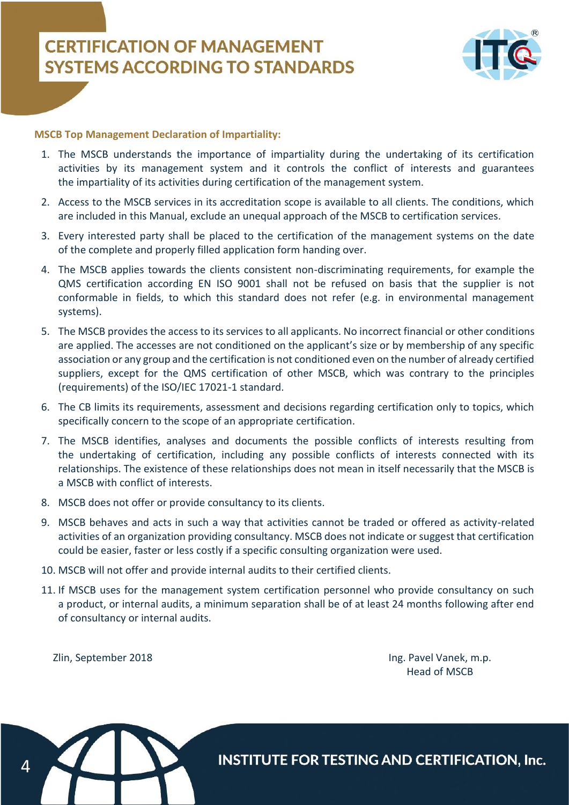

### **MSCB Top Management Declaration of Impartiality:**

- 1. The MSCB understands the importance of impartiality during the undertaking of its certification activities by its management system and it controls the conflict of interests and guarantees the impartiality of its activities during certification of the management system.
- 2. Access to the MSCB services in its accreditation scope is available to all clients. The conditions, which are included in this Manual, exclude an unequal approach of the MSCB to certification services.
- 3. Every interested party shall be placed to the certification of the management systems on the date of the complete and properly filled application form handing over.
- 4. The MSCB applies towards the clients consistent non-discriminating requirements, for example the QMS certification according EN ISO 9001 shall not be refused on basis that the supplier is not conformable in fields, to which this standard does not refer (e.g. in environmental management systems).
- 5. The MSCB provides the access to its services to all applicants. No incorrect financial or other conditions are applied. The accesses are not conditioned on the applicant's size or by membership of any specific association or any group and the certification is not conditioned even on the number of already certified suppliers, except for the QMS certification of other MSCB, which was contrary to the principles (requirements) of the ISO/IEC 17021-1 standard.
- 6. The CB limits its requirements, assessment and decisions regarding certification only to topics, which specifically concern to the scope of an appropriate certification.
- 7. The MSCB identifies, analyses and documents the possible conflicts of interests resulting from the undertaking of certification, including any possible conflicts of interests connected with its relationships. The existence of these relationships does not mean in itself necessarily that the MSCB is a MSCB with conflict of interests.
- 8. MSCB does not offer or provide consultancy to its clients.
- 9. MSCB behaves and acts in such a way that activities cannot be traded or offered as activity-related activities of an organization providing consultancy. MSCB does not indicate or suggest that certification could be easier, faster or less costly if a specific consulting organization were used.
- 10. MSCB will not offer and provide internal audits to their certified clients.
- 11. If MSCB uses for the management system certification personnel who provide consultancy on such a product, or internal audits, a minimum separation shall be of at least 24 months following after end of consultancy or internal audits.

Zlin, September 2018 Ing. Pavel Vanek, m.p. Head of MSCB

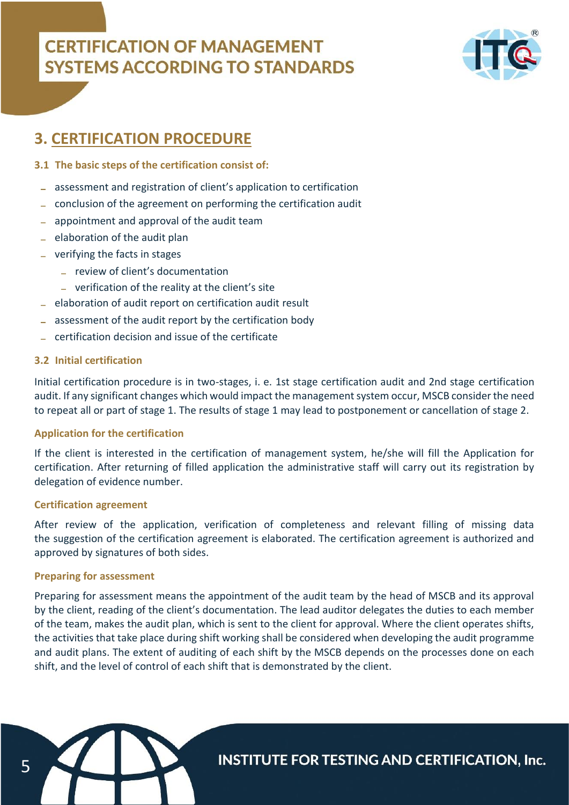

### **3. CERTIFICATION PROCEDURE**

### **3.1 The basic steps of the certification consist of:**

- assessment and registration of client's application to certification
- conclusion of the agreement on performing the certification audit
- appointment and approval of the audit team
- $=$  elaboration of the audit plan
- verifying the facts in stages
	- review of client's documentation
	- verification of the reality at the client's site
- elaboration of audit report on certification audit result
- assessment of the audit report by the certification body
- certification decision and issue of the certificate

### **3.2 Initial certification**

Initial certification procedure is in two-stages, i. e. 1st stage certification audit and 2nd stage certification audit. If any significant changes which would impact the management system occur, MSCB consider the need to repeat all or part of stage 1. The results of stage 1 may lead to postponement or cancellation of stage 2.

### **Application for the certification**

If the client is interested in the certification of management system, he/she will fill the Application for certification. After returning of filled application the administrative staff will carry out its registration by delegation of evidence number.

### **Certification agreement**

After review of the application, verification of completeness and relevant filling of missing data the suggestion of the certification agreement is elaborated. The certification agreement is authorized and approved by signatures of both sides.

### **Preparing for assessment**

Preparing for assessment means the appointment of the audit team by the head of MSCB and its approval by the client, reading of the client's documentation. The lead auditor delegates the duties to each member of the team, makes the audit plan, which is sent to the client for approval. Where the client operates shifts, the activities that take place during shift working shall be considered when developing the audit programme and audit plans. The extent of auditing of each shift by the MSCB depends on the processes done on each shift, and the level of control of each shift that is demonstrated by the client.

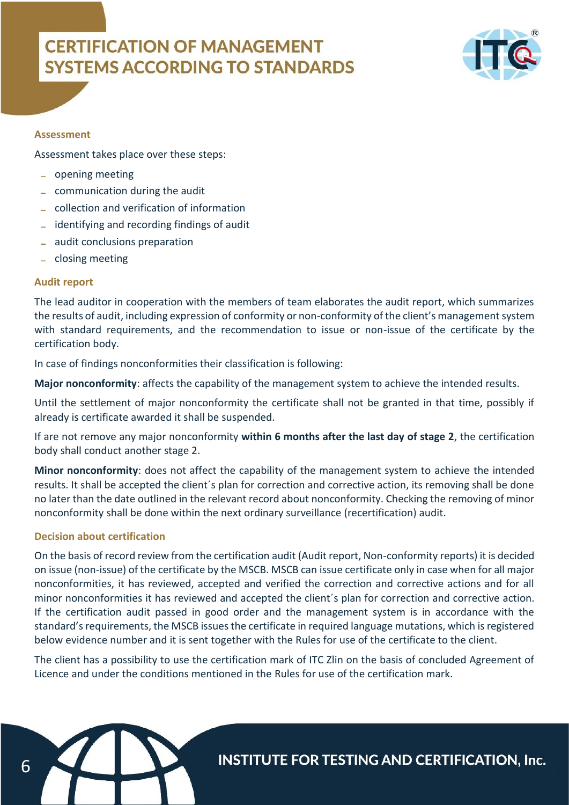

#### **Assessment**

Assessment takes place over these steps:

- opening meeting
- communication during the audit
- collection and verification of information
- identifying and recording findings of audit
- audit conclusions preparation
- closing meeting

#### **Audit report**

The lead auditor in cooperation with the members of team elaborates the audit report, which summarizes the results of audit, including expression of conformity or non-conformity of the client's management system with standard requirements, and the recommendation to issue or non-issue of the certificate by the certification body.

In case of findings nonconformities their classification is following:

**Major nonconformity**: affects the capability of the management system to achieve the intended results.

Until the settlement of major nonconformity the certificate shall not be granted in that time, possibly if already is certificate awarded it shall be suspended.

If are not remove any major nonconformity **within 6 months after the last day of stage 2**, the certification body shall conduct another stage 2.

**Minor nonconformity**: does not affect the capability of the management system to achieve the intended results. It shall be accepted the client´s plan for correction and corrective action, its removing shall be done no later than the date outlined in the relevant record about nonconformity. Checking the removing of minor nonconformity shall be done within the next ordinary surveillance (recertification) audit.

### **Decision about certification**

On the basis of record review from the certification audit (Audit report, Non-conformity reports) it is decided on issue (non-issue) of the certificate by the MSCB. MSCB can issue certificate only in case when for all major nonconformities, it has reviewed, accepted and verified the correction and corrective actions and for all minor nonconformities it has reviewed and accepted the client´s plan for correction and corrective action. If the certification audit passed in good order and the management system is in accordance with the standard's requirements, the MSCB issues the certificate in required language mutations, which is registered below evidence number and it is sent together with the Rules for use of the certificate to the client.

The client has a possibility to use the certification mark of ITC Zlin on the basis of concluded Agreement of Licence and under the conditions mentioned in the Rules for use of the certification mark.

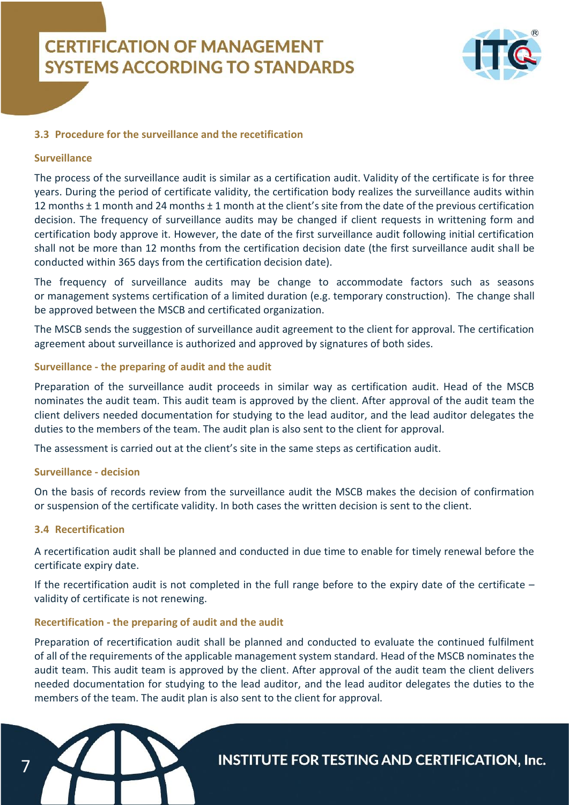

### **3.3 Procedure for the surveillance and the recetification**

#### **Surveillance**

The process of the surveillance audit is similar as a certification audit. Validity of the certificate is for three years. During the period of certificate validity, the certification body realizes the surveillance audits within 12 months ± 1 month and 24 months ± 1 month at the client's site from the date of the previous certification decision. The frequency of surveillance audits may be changed if client requests in writtening form and certification body approve it. However, the date of the first surveillance audit following initial certification shall not be more than 12 months from the certification decision date (the first surveillance audit shall be conducted within 365 days from the certification decision date).

The frequency of surveillance audits may be change to accommodate factors such as seasons or management systems certification of a limited duration (e.g. temporary construction). The change shall be approved between the MSCB and certificated organization.

The MSCB sends the suggestion of surveillance audit agreement to the client for approval. The certification agreement about surveillance is authorized and approved by signatures of both sides.

#### **Surveillance - the preparing of audit and the audit**

Preparation of the surveillance audit proceeds in similar way as certification audit. Head of the MSCB nominates the audit team. This audit team is approved by the client. After approval of the audit team the client delivers needed documentation for studying to the lead auditor, and the lead auditor delegates the duties to the members of the team. The audit plan is also sent to the client for approval.

The assessment is carried out at the client's site in the same steps as certification audit.

#### **Surveillance - decision**

On the basis of records review from the surveillance audit the MSCB makes the decision of confirmation or suspension of the certificate validity. In both cases the written decision is sent to the client.

### **3.4 Recertification**

A recertification audit shall be planned and conducted in due time to enable for timely renewal before the certificate expiry date.

If the recertification audit is not completed in the full range before to the expiry date of the certificate – validity of certificate is not renewing.

### **Recertification - the preparing of audit and the audit**

Preparation of recertification audit shall be planned and conducted to evaluate the continued fulfilment of all of the requirements of the applicable management system standard. Head of the MSCB nominates the audit team. This audit team is approved by the client. After approval of the audit team the client delivers needed documentation for studying to the lead auditor, and the lead auditor delegates the duties to the members of the team. The audit plan is also sent to the client for approval.

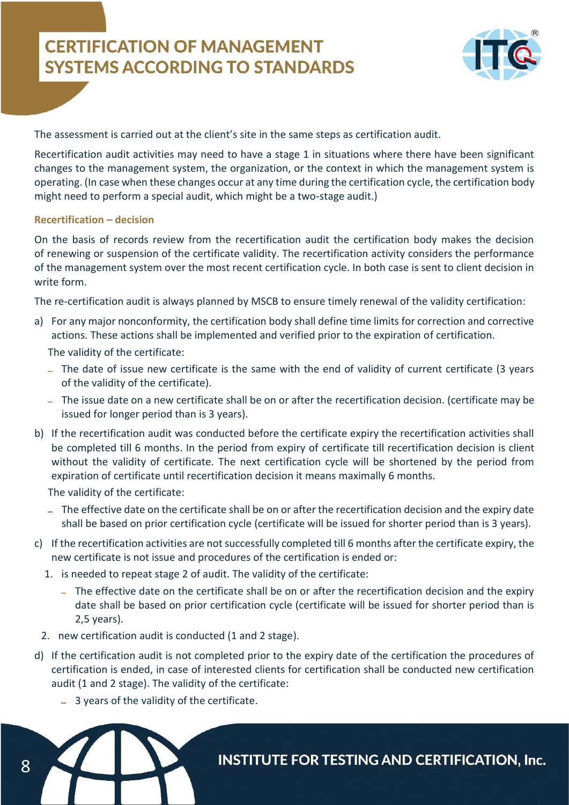

The assessment is carried out at the client's site in the same steps as certification audit.

Recertification audit activities may need to have a stage 1 in situations where there have been significant changes to the management system, the organization, or the context in which the management system is operating. (In case when these changes occur at any time during the certification cycle, the certification body might need to perform a special audit, which might be a two-stage audit.)

#### **Recertification – decision**

On the basis of records review from the recertification audit the certification body makes the decision of renewing or suspension of the certificate validity. The recertification activity considers the performance of the management system over the most recent certification cycle. In both case is sent to client decision in write form.

The re-certification audit is always planned by MSCB to ensure timely renewal of the validity certification:

a) For any major nonconformity, the certification body shall define time limits for correction and corrective actions. These actions shall be implemented and verified prior to the expiration of certification.

The validity of the certificate:

- The date of issue new certificate is the same with the end of validity of current certificate (3 years of the validity of the certificate).
- The issue date on a new certificate shall be on or after the recertification decision. (certificate may be issued for longer period than is 3 years).
- b) If the recertification audit was conducted before the certificate expiry the recertification activities shall be completed till 6 months. In the period from expiry of certificate till recertification decision is client without the validity of certificate. The next certification cycle will be shortened by the period from expiration of certificate until recertification decision it means maximally 6 months.

The validity of the certificate:

- The effective date on the certificate shall be on or after the recertification decision and the expiry date shall be based on prior certification cycle (certificate will be issued for shorter period than is 3 years).
- c) If the recertification activities are not successfully completed till 6 months after the certificate expiry, the new certificate is not issue and procedures of the certification is ended or:
	- 1. is needed to repeat stage 2 of audit. The validity of the certificate:
		- The effective date on the certificate shall be on or after the recertification decision and the expiry date shall be based on prior certification cycle (certificate will be issued for shorter period than is 2,5 years).
	- 2. new certification audit is conducted (1 and 2 stage).
- d) If the certification audit is not completed prior to the expiry date of the certification the procedures of certification is ended, in case of interested clients for certification shall be conducted new certification audit (1 and 2 stage). The validity of the certificate:
	- 3 years of the validity of the certificate.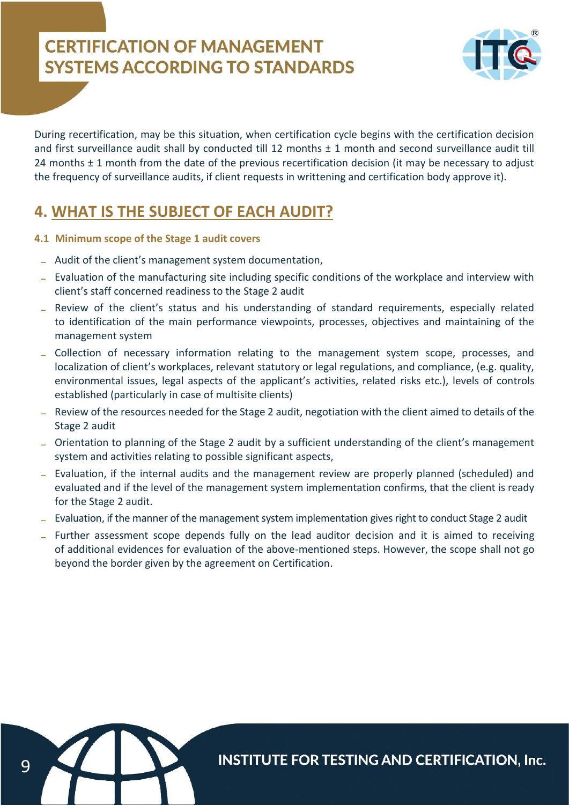

During recertification, may be this situation, when certification cycle begins with the certification decision and first surveillance audit shall by conducted till 12 months  $\pm$  1 month and second surveillance audit till 24 months ± 1 month from the date of the previous recertification decision (it may be necessary to adjust the frequency of surveillance audits, if client requests in writtening and certification body approve it).

### **4. WHAT IS THE SUBJECT OF EACH AUDIT?**

- **4.1 Minimum scope of the Stage 1 audit covers**
	- Audit of the client's management system documentation,
	- Evaluation of the manufacturing site including specific conditions of the workplace and interview with client's staff concerned readiness to the Stage 2 audit
	- Review of the client's status and his understanding of standard requirements, especially related to identification of the main performance viewpoints, processes, objectives and maintaining of the management system
	- Collection of necessary information relating to the management system scope, processes, and localization of client's workplaces, relevant statutory or legal regulations, and compliance, (e.g. quality, environmental issues, legal aspects of the applicant's activities, related risks etc.), levels of controls established (particularly in case of multisite clients)
	- Review of the resources needed for the Stage 2 audit, negotiation with the client aimed to details of the Stage 2 audit
	- Orientation to planning of the Stage 2 audit by a sufficient understanding of the client's management system and activities relating to possible significant aspects,
	- Evaluation, if the internal audits and the management review are properly planned (scheduled) and evaluated and if the level of the management system implementation confirms, that the client is ready for the Stage 2 audit.
	- Evaluation, if the manner of the management system implementation gives right to conduct Stage 2 audit
	- Further assessment scope depends fully on the lead auditor decision and it is aimed to receiving of additional evidences for evaluation of the above-mentioned steps. However, the scope shall not go beyond the border given by the agreement on Certification.

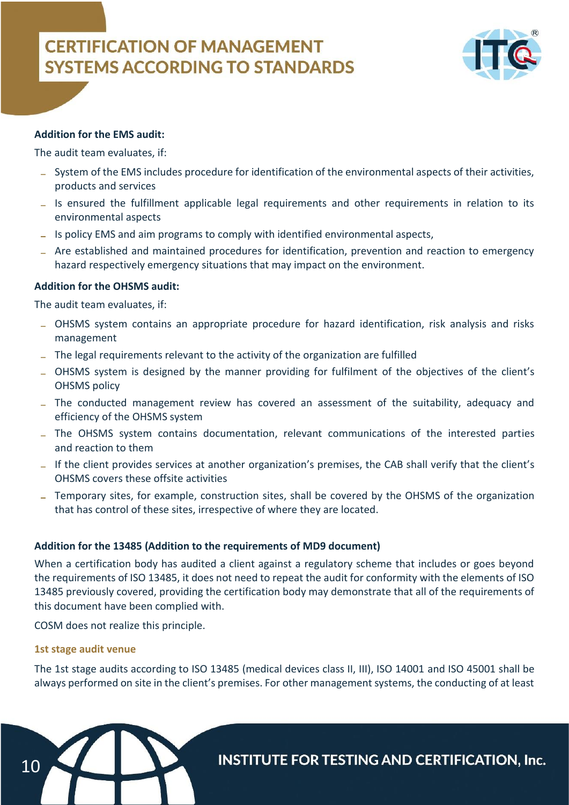

### **Addition for the EMS audit:**

The audit team evaluates, if:

- System of the EMS includes procedure for identification of the environmental aspects of their activities, products and services
- Is ensured the fulfillment applicable legal requirements and other requirements in relation to its environmental aspects
- Is policy EMS and aim programs to comply with identified environmental aspects,
- Are established and maintained procedures for identification, prevention and reaction to emergency hazard respectively emergency situations that may impact on the environment.

### **Addition for the OHSMS audit:**

The audit team evaluates, if:

- OHSMS system contains an appropriate procedure for hazard identification, risk analysis and risks management
- The legal requirements relevant to the activity of the organization are fulfilled
- OHSMS system is designed by the manner providing for fulfilment of the objectives of the client's OHSMS policy
- The conducted management review has covered an assessment of the suitability, adequacy and efficiency of the OHSMS system
- The OHSMS system contains documentation, relevant communications of the interested parties and reaction to them
- If the client provides services at another organization's premises, the CAB shall verify that the client's OHSMS covers these offsite activities
- Temporary sites, for example, construction sites, shall be covered by the OHSMS of the organization that has control of these sites, irrespective of where they are located.

### **Addition for the 13485 (Addition to the requirements of MD9 document)**

When a certification body has audited a client against a regulatory scheme that includes or goes beyond the requirements of ISO 13485, it does not need to repeat the audit for conformity with the elements of ISO 13485 previously covered, providing the certification body may demonstrate that all of the requirements of this document have been complied with.

COSM does not realize this principle.

### **1st stage audit venue**

The 1st stage audits according to ISO 13485 (medical devices class II, III), ISO 14001 and ISO 45001 shall be always performed on site in the client's premises. For other management systems, the conducting of at least

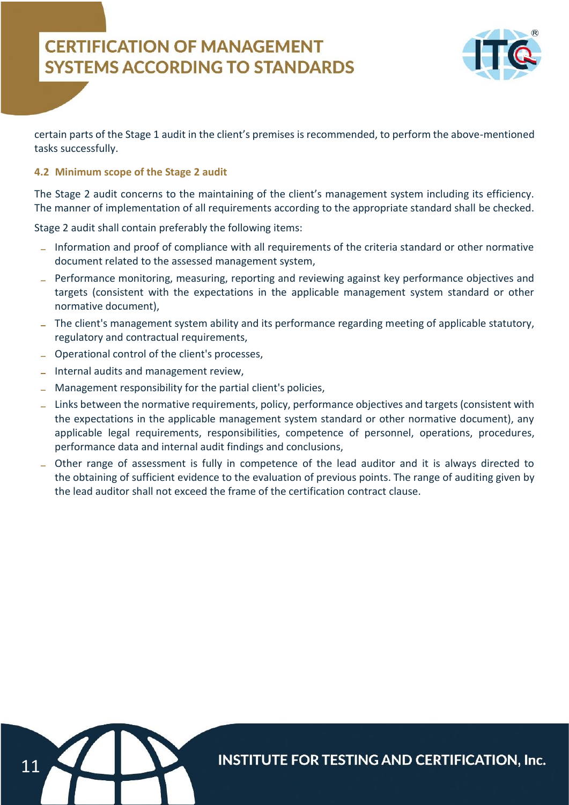

certain parts of the Stage 1 audit in the client's premises is recommended, to perform the above-mentioned tasks successfully.

### **4.2 Minimum scope of the Stage 2 audit**

The Stage 2 audit concerns to the maintaining of the client's management system including its efficiency. The manner of implementation of all requirements according to the appropriate standard shall be checked.

Stage 2 audit shall contain preferably the following items:

- Information and proof of compliance with all requirements of the criteria standard or other normative document related to the assessed management system,
- Performance monitoring, measuring, reporting and reviewing against key performance objectives and targets (consistent with the expectations in the applicable management system standard or other normative document),
- The client's management system ability and its performance regarding meeting of applicable statutory, regulatory and contractual requirements,
- Operational control of the client's processes,
- Internal audits and management review,
- Management responsibility for the partial client's policies,
- Links between the normative requirements, policy, performance objectives and targets (consistent with the expectations in the applicable management system standard or other normative document), any applicable legal requirements, responsibilities, competence of personnel, operations, procedures, performance data and internal audit findings and conclusions,
- Other range of assessment is fully in competence of the lead auditor and it is always directed to the obtaining of sufficient evidence to the evaluation of previous points. The range of auditing given by the lead auditor shall not exceed the frame of the certification contract clause.

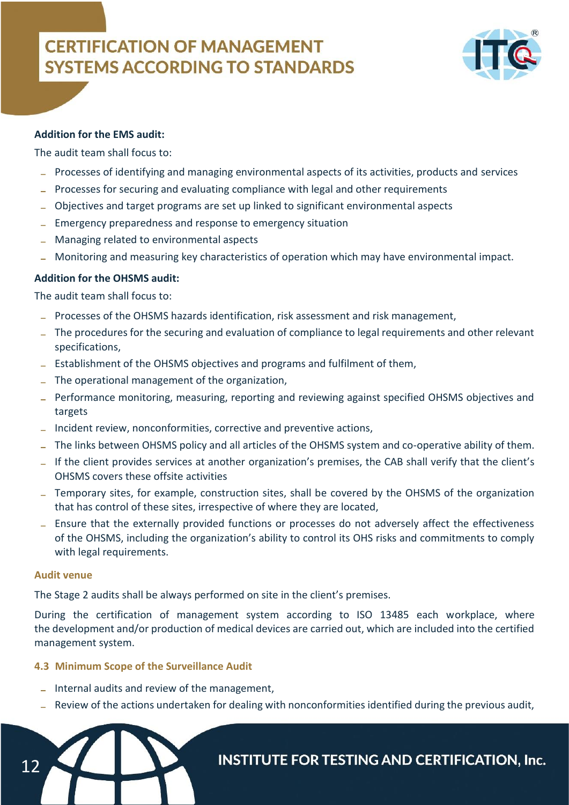

### **Addition for the EMS audit:**

The audit team shall focus to:

- Processes of identifying and managing environmental aspects of its activities, products and services
- Processes for securing and evaluating compliance with legal and other requirements
- Objectives and target programs are set up linked to significant environmental aspects
- Emergency preparedness and response to emergency situation
- Managing related to environmental aspects
- Monitoring and measuring key characteristics of operation which may have environmental impact.

### **Addition for the OHSMS audit:**

The audit team shall focus to:

- Processes of the OHSMS hazards identification, risk assessment and risk management,
- The procedures for the securing and evaluation of compliance to legal requirements and other relevant specifications,
- Establishment of the OHSMS objectives and programs and fulfilment of them,
- The operational management of the organization,
- Performance monitoring, measuring, reporting and reviewing against specified OHSMS objectives and targets
- Incident review, nonconformities, corrective and preventive actions,
- The links between OHSMS policy and all articles of the OHSMS system and co-operative ability of them.
- If the client provides services at another organization's premises, the CAB shall verify that the client's OHSMS covers these offsite activities
- Temporary sites, for example, construction sites, shall be covered by the OHSMS of the organization that has control of these sites, irrespective of where they are located,
- Ensure that the externally provided functions or processes do not adversely affect the effectiveness of the OHSMS, including the organization's ability to control its OHS risks and commitments to comply with legal requirements.

#### **Audit venue**

12

The Stage 2 audits shall be always performed on site in the client's premises.

During the certification of management system according to ISO 13485 each workplace, where the development and/or production of medical devices are carried out, which are included into the certified management system.

### **4.3 Minimum Scope of the Surveillance Audit**

- $I$  Internal audits and review of the management,
- Review of the actions undertaken for dealing with nonconformities identified during the previous audit,

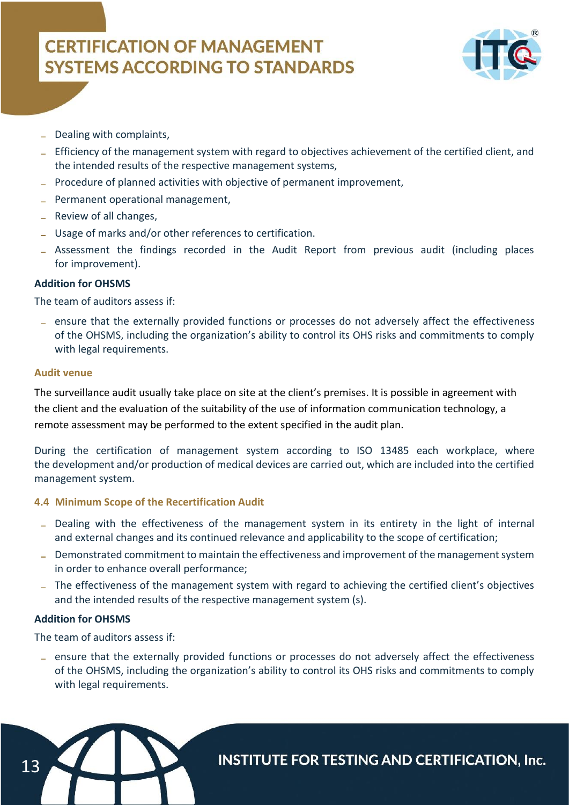

- Dealing with complaints,
- Efficiency of the management system with regard to objectives achievement of the certified client, and the intended results of the respective management systems,
- Procedure of planned activities with objective of permanent improvement,
- Permanent operational management,
- Review of all changes,
- Usage of marks and/or other references to certification.
- Assessment the findings recorded in the Audit Report from previous audit (including places for improvement).

### **Addition for OHSMS**

The team of auditors assess if:

ensure that the externally provided functions or processes do not adversely affect the effectiveness of the OHSMS, including the organization's ability to control its OHS risks and commitments to comply with legal requirements.

#### **Audit venue**

The surveillance audit usually take place on site at the client's premises. It is possible in agreement with the client and the evaluation of the suitability of the use of information communication technology, a remote assessment may be performed to the extent specified in the audit plan.

During the certification of management system according to ISO 13485 each workplace, where the development and/or production of medical devices are carried out, which are included into the certified management system.

### **4.4 Minimum Scope of the Recertification Audit**

- Dealing with the effectiveness of the management system in its entirety in the light of internal and external changes and its continued relevance and applicability to the scope of certification;
- Demonstrated commitment to maintain the effectiveness and improvement of the management system in order to enhance overall performance;
- The effectiveness of the management system with regard to achieving the certified client's objectives and the intended results of the respective management system (s).

### **Addition for OHSMS**

The team of auditors assess if:

ensure that the externally provided functions or processes do not adversely affect the effectiveness of the OHSMS, including the organization's ability to control its OHS risks and commitments to comply with legal requirements.

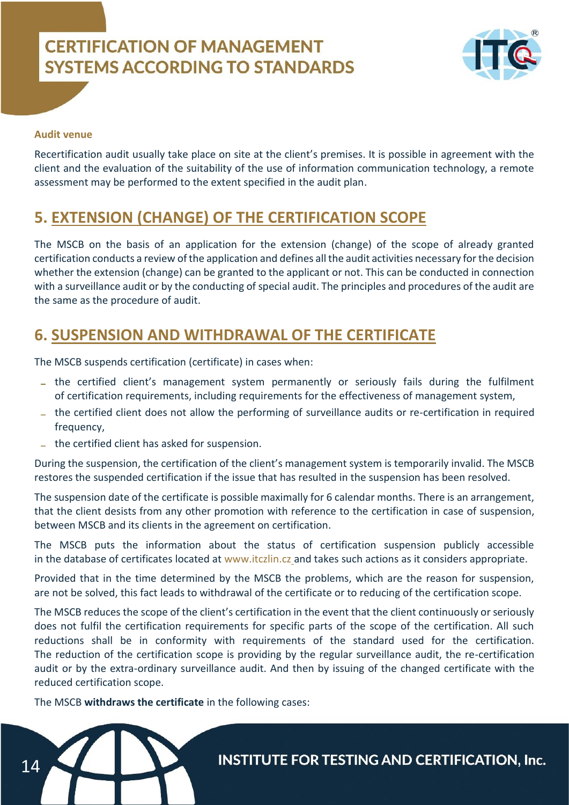

### **Audit venue**

Recertification audit usually take place on site at the client's premises. It is possible in agreement with the client and the evaluation of the suitability of the use of information communication technology, a remote assessment may be performed to the extent specified in the audit plan.

### **5. EXTENSION (CHANGE) OF THE CERTIFICATION SCOPE**

The MSCB on the basis of an application for the extension (change) of the scope of already granted certification conducts a review of the application and defines all the audit activities necessary for the decision whether the extension (change) can be granted to the applicant or not. This can be conducted in connection with a surveillance audit or by the conducting of special audit. The principles and procedures of the audit are the same as the procedure of audit.

### **6. SUSPENSION AND WITHDRAWAL OF THE CERTIFICATE**

The MSCB suspends certification (certificate) in cases when:

- the certified client's management system permanently or seriously fails during the fulfilment of certification requirements, including requirements for the effectiveness of management system,
- the certified client does not allow the performing of surveillance audits or re-certification in required frequency,
- the certified client has asked for suspension.

During the suspension, the certification of the client's management system is temporarily invalid. The MSCB restores the suspended certification if the issue that has resulted in the suspension has been resolved.

The suspension date of the certificate is possible maximally for 6 calendar months. There is an arrangement, that the client desists from any other promotion with reference to the certification in case of suspension, between MSCB and its clients in the agreement on certification.

The MSCB puts the information about the status of certification suspension publicly accessible in the database of certificates located at www.itczlin.cz and takes such actions as it considers appropriate.

Provided that in the time determined by the MSCB the problems, which are the reason for suspension, are not be solved, this fact leads to withdrawal of the certificate or to reducing of the certification scope.

The MSCB reduces the scope of the client's certification in the event that the client continuously or seriously does not fulfil the certification requirements for specific parts of the scope of the certification. All such reductions shall be in conformity with requirements of the standard used for the certification. The reduction of the certification scope is providing by the regular surveillance audit, the re-certification audit or by the extra-ordinary surveillance audit. And then by issuing of the changed certificate with the reduced certification scope.

The MSCB **withdraws the certificate** in the following cases:

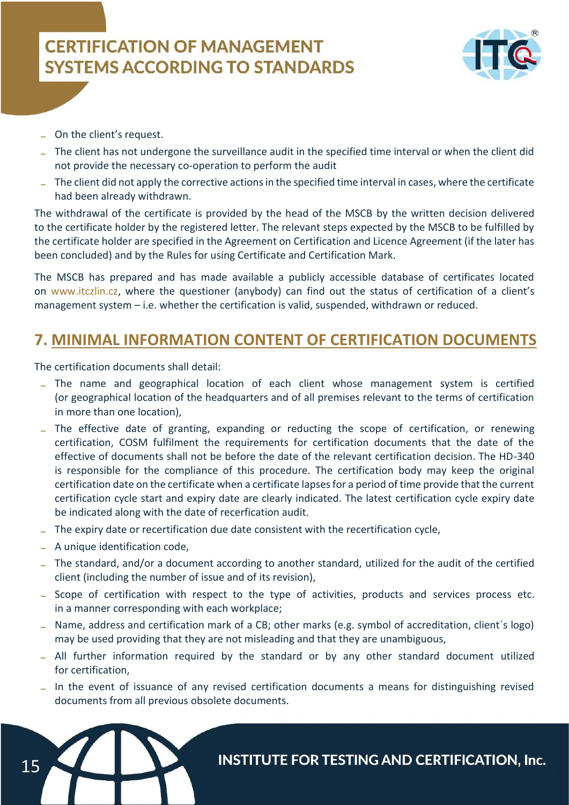

- On the client's request.
- The client has not undergone the surveillance audit in the specified time interval or when the client did not provide the necessary co-operation to perform the audit
- The client did not apply the corrective actions in the specified time interval in cases, where the certificate had been already withdrawn.

The withdrawal of the certificate is provided by the head of the MSCB by the written decision delivered to the certificate holder by the registered letter. The relevant steps expected by the MSCB to be fulfilled by the certificate holder are specified in the Agreement on Certification and Licence Agreement (if the later has been concluded) and by the Rules for using Certificate and Certification Mark.

The MSCB has prepared and has made available a publicly accessible database of certificates located on www.itczlin.cz, where the questioner (anybody) can find out the status of certification of a client's management system – i.e. whether the certification is valid, suspended, withdrawn or reduced.

### **7. MINIMAL INFORMATION CONTENT OF CERTIFICATION DOCUMENTS**

The certification documents shall detail:

- The name and geographical location of each client whose management system is certified (or geographical location of the headquarters and of all premises relevant to the terms of certification in more than one location),
- The effective date of granting, expanding or reducting the scope of certification, or renewing certification, COSM fulfilment the requirements for certification documents that the date of the effective of documents shall not be before the date of the relevant certification decision. The HD-340 is responsible for the compliance of this procedure. The certification body may keep the original certification date on the certificate when a certificate lapses for a period of time provide that the current certification cycle start and expiry date are clearly indicated. The latest certification cycle expiry date be indicated along with the date of recerfication audit.
- The expiry date or recertification due date consistent with the recertification cycle,
- A unique identification code,
- The standard, and/or a document according to another standard, utilized for the audit of the certified client (including the number of issue and of its revision),
- Scope of certification with respect to the type of activities, products and services process etc. in a manner corresponding with each workplace;
- Name, address and certification mark of a CB; other marks (e.g. symbol of accreditation, client´s logo) may be used providing that they are not misleading and that they are unambiguous,
- All further information required by the standard or by any other standard document utilized for certification,
- In the event of issuance of any revised certification documents a means for distinguishing revised documents from all previous obsolete documents.

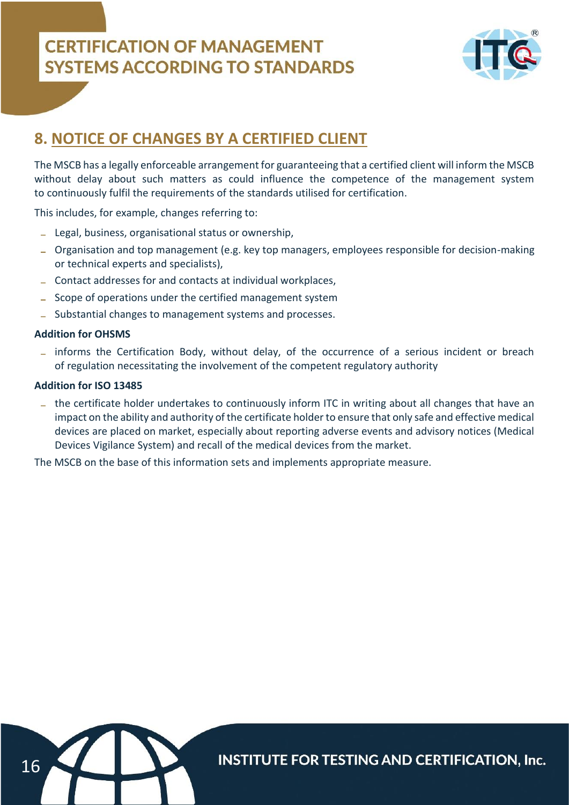

### **8. NOTICE OF CHANGES BY A CERTIFIED CLIENT**

The MSCB has a legally enforceable arrangement for guaranteeing that a certified client will inform the MSCB without delay about such matters as could influence the competence of the management system to continuously fulfil the requirements of the standards utilised for certification.

This includes, for example, changes referring to:

- Legal, business, organisational status or ownership,
- Organisation and top management (e.g. key top managers, employees responsible for decision-making or technical experts and specialists),
- Contact addresses for and contacts at individual workplaces,
- Scope of operations under the certified management system
- Substantial changes to management systems and processes.

### **Addition for OHSMS**

- informs the Certification Body, without delay, of the occurrence of a serious incident or breach of regulation necessitating the involvement of the competent regulatory authority

### **Addition for ISO 13485**

- the certificate holder undertakes to continuously inform ITC in writing about all changes that have an impact on the ability and authority of the certificate holder to ensure that only safe and effective medical devices are placed on market, especially about reporting adverse events and advisory notices (Medical Devices Vigilance System) and recall of the medical devices from the market.

The MSCB on the base of this information sets and implements appropriate measure.

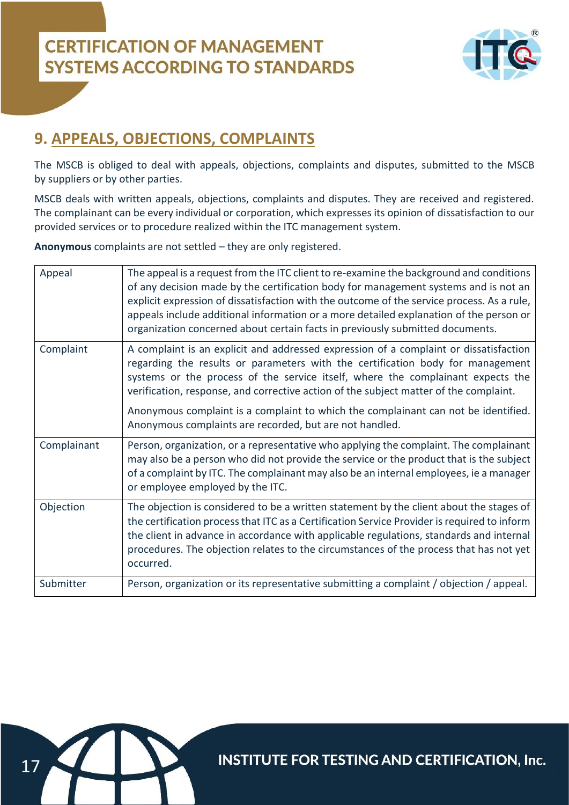

### **9. APPEALS, OBJECTIONS, COMPLAINTS**

The MSCB is obliged to deal with appeals, objections, complaints and disputes, submitted to the MSCB by suppliers or by other parties.

MSCB deals with written appeals, objections, complaints and disputes. They are received and registered. The complainant can be every individual or corporation, which expresses its opinion of dissatisfaction to our provided services or to procedure realized within the ITC management system.

**Anonymous** complaints are not settled – they are only registered.

| Appeal      | The appeal is a request from the ITC client to re-examine the background and conditions<br>of any decision made by the certification body for management systems and is not an<br>explicit expression of dissatisfaction with the outcome of the service process. As a rule,<br>appeals include additional information or a more detailed explanation of the person or<br>organization concerned about certain facts in previously submitted documents. |
|-------------|---------------------------------------------------------------------------------------------------------------------------------------------------------------------------------------------------------------------------------------------------------------------------------------------------------------------------------------------------------------------------------------------------------------------------------------------------------|
| Complaint   | A complaint is an explicit and addressed expression of a complaint or dissatisfaction<br>regarding the results or parameters with the certification body for management<br>systems or the process of the service itself, where the complainant expects the<br>verification, response, and corrective action of the subject matter of the complaint.                                                                                                     |
|             | Anonymous complaint is a complaint to which the complainant can not be identified.<br>Anonymous complaints are recorded, but are not handled.                                                                                                                                                                                                                                                                                                           |
| Complainant | Person, organization, or a representative who applying the complaint. The complainant<br>may also be a person who did not provide the service or the product that is the subject<br>of a complaint by ITC. The complainant may also be an internal employees, ie a manager<br>or employee employed by the ITC.                                                                                                                                          |
| Objection   | The objection is considered to be a written statement by the client about the stages of<br>the certification process that ITC as a Certification Service Provider is required to inform<br>the client in advance in accordance with applicable regulations, standards and internal<br>procedures. The objection relates to the circumstances of the process that has not yet<br>occurred.                                                               |
| Submitter   | Person, organization or its representative submitting a complaint / objection / appeal.                                                                                                                                                                                                                                                                                                                                                                 |

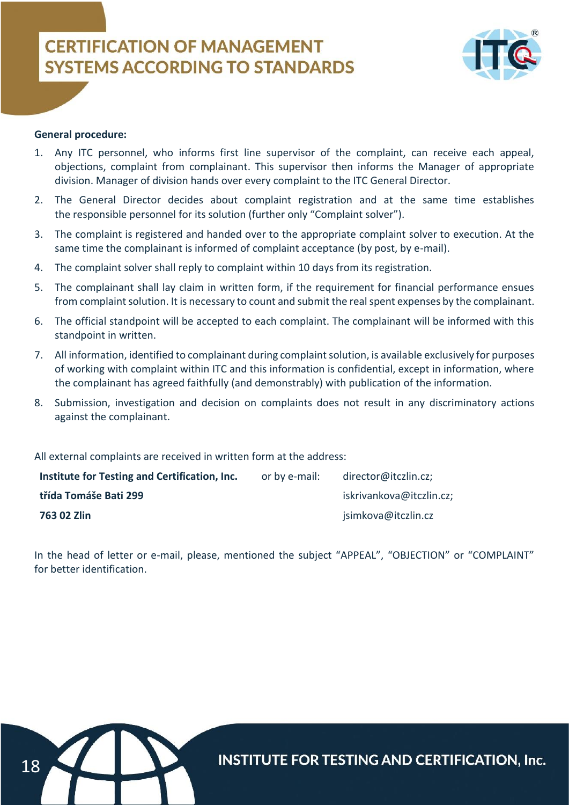

#### **General procedure:**

- 1. Any ITC personnel, who informs first line supervisor of the complaint, can receive each appeal, objections, complaint from complainant. This supervisor then informs the Manager of appropriate division. Manager of division hands over every complaint to the ITC General Director.
- 2. The General Director decides about complaint registration and at the same time establishes the responsible personnel for its solution (further only "Complaint solver").
- 3. The complaint is registered and handed over to the appropriate complaint solver to execution. At the same time the complainant is informed of complaint acceptance (by post, by e-mail).
- 4. The complaint solver shall reply to complaint within 10 days from its registration.
- 5. The complainant shall lay claim in written form, if the requirement for financial performance ensues from complaint solution. It is necessary to count and submit the real spent expenses by the complainant.
- 6. The official standpoint will be accepted to each complaint. The complainant will be informed with this standpoint in written.
- 7. All information, identified to complainant during complaint solution, is available exclusively for purposes of working with complaint within ITC and this information is confidential, except in information, where the complainant has agreed faithfully (and demonstrably) with publication of the information.
- 8. Submission, investigation and decision on complaints does not result in any discriminatory actions against the complainant.

All external complaints are received in written form at the address:

| Institute for Testing and Certification, Inc. | or by e-mail: | director@itczlin.cz;     |
|-----------------------------------------------|---------------|--------------------------|
| třída Tomáše Bati 299                         |               | iskrivankova@itczlin.cz; |
| 763 02 Zlin                                   |               | jsimkova@itczlin.cz      |

In the head of letter or e-mail, please, mentioned the subject "APPEAL", "OBJECTION" or "COMPLAINT" for better identification.

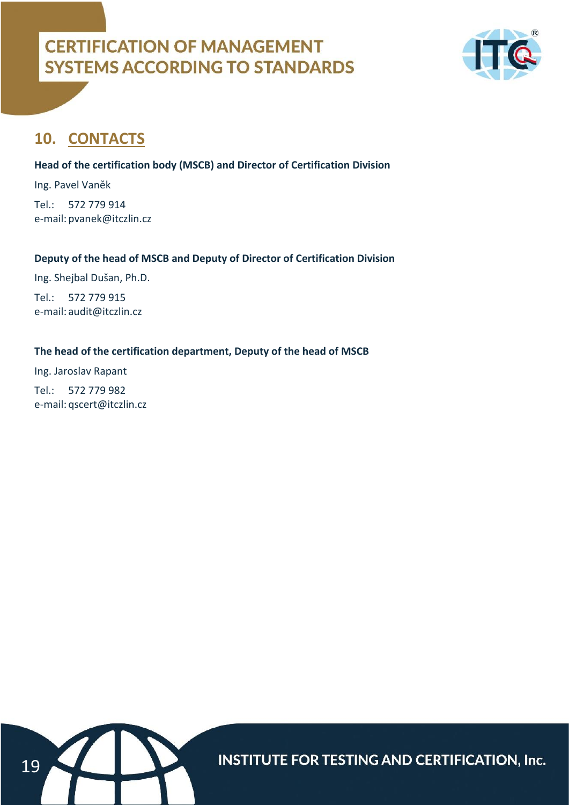

### **10. CONTACTS**

### **Head of the certification body (MSCB) and Director of Certification Division**

Ing. Pavel Vaněk Tel.: 572 779 914 e-mail: pvanek@itczlin.cz

### **Deputy of the head of MSCB and Deputy of Director of Certification Division**

Ing. Shejbal Dušan, Ph.D.

Tel.: 572 779 915 e-mail: audit@itczlin.cz

### **The head of the certification department, Deputy of the head of MSCB**

Ing. Jaroslav Rapant Tel.: 572 779 982 e-mail: qscert@itczlin.cz